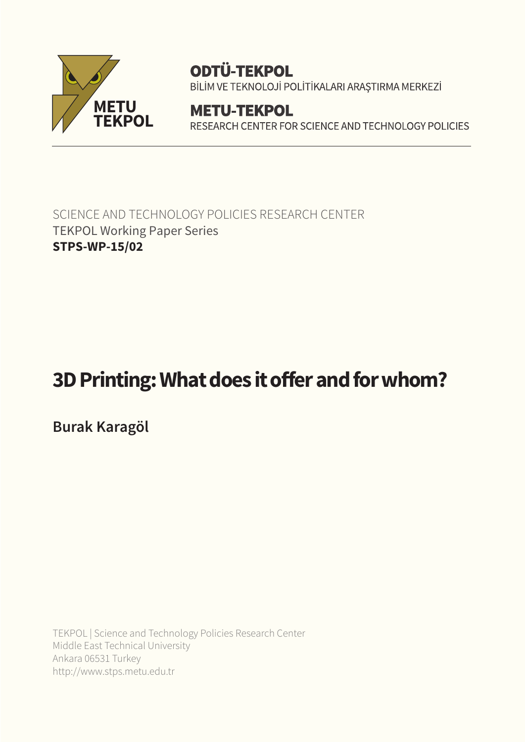

# **ODTÜ-TEKPOL**

BİLİM VE TEKNOLOJİ POLİTİKALARI ARAŞTIRMA MERKEZİ

**METU-TEKPOL** RESEARCH CENTER FOR SCIENCE AND TECHNOLOGY POLICIES

SCIENCE AND TECHNOLOGY POLICIES RESEARCH CENTER TEKPOL Working Paper Series **STPS-WP-15/02**

# **3D Printing: What does it offer and for whom?**

**Burak Karagöl**

TEKPOL | Science and Technology Policies Research Center Middle East Technical University Ankara 06531 Turkey http://www.stps.metu.edu.tr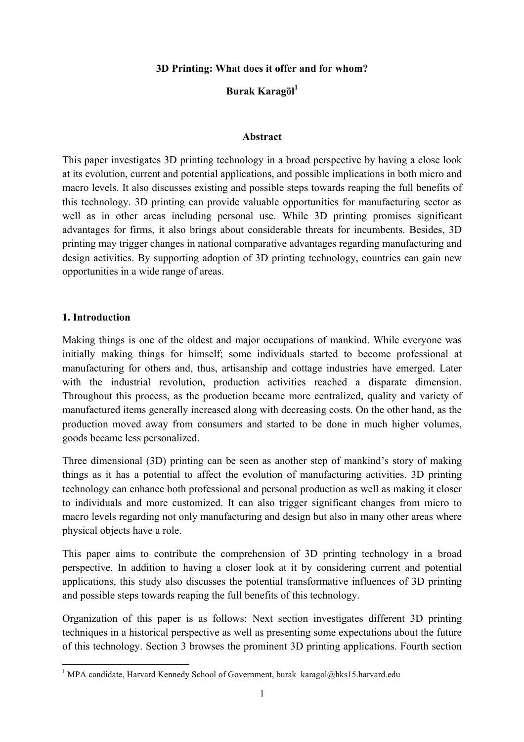**3D Printing: What does it offer and for whom?**

# **Burak Karagöl1**

#### **Abstract**

This paper investigates 3D printing technology in a broad perspective by having a close look at its evolution, current and potential applications, and possible implications in both micro and macro levels. It also discusses existing and possible steps towards reaping the full benefits of this technology. 3D printing can provide valuable opportunities for manufacturing sector as well as in other areas including personal use. While 3D printing promises significant advantages for firms, it also brings about considerable threats for incumbents. Besides, 3D printing may trigger changes in national comparative advantages regarding manufacturing and design activities. By supporting adoption of 3D printing technology, countries can gain new opportunities in a wide range of areas.

#### **1. Introduction**

<u> 1989 - Johann Stein, mars et al. 1989 - Anna ann an t-Anna ann an t-Anna ann an t-Anna ann an t-Anna ann an t-</u>

Making things is one of the oldest and major occupations of mankind. While everyone was initially making things for himself; some individuals started to become professional at manufacturing for others and, thus, artisanship and cottage industries have emerged. Later with the industrial revolution, production activities reached a disparate dimension. Throughout this process, as the production became more centralized, quality and variety of manufactured items generally increased along with decreasing costs. On the other hand, as the production moved away from consumers and started to be done in much higher volumes, goods became less personalized.

Three dimensional (3D) printing can be seen as another step of mankind's story of making things as it has a potential to affect the evolution of manufacturing activities. 3D printing technology can enhance both professional and personal production as well as making it closer to individuals and more customized. It can also trigger significant changes from micro to macro levels regarding not only manufacturing and design but also in many other areas where physical objects have a role.

This paper aims to contribute the comprehension of 3D printing technology in a broad perspective. In addition to having a closer look at it by considering current and potential applications, this study also discusses the potential transformative influences of 3D printing and possible steps towards reaping the full benefits of this technology.

Organization of this paper is as follows: Next section investigates different 3D printing techniques in a historical perspective as well as presenting some expectations about the future of this technology. Section 3 browses the prominent 3D printing applications. Fourth section

<sup>&</sup>lt;sup>1</sup> MPA candidate, Harvard Kennedy School of Government, burak karagol@hks15.harvard.edu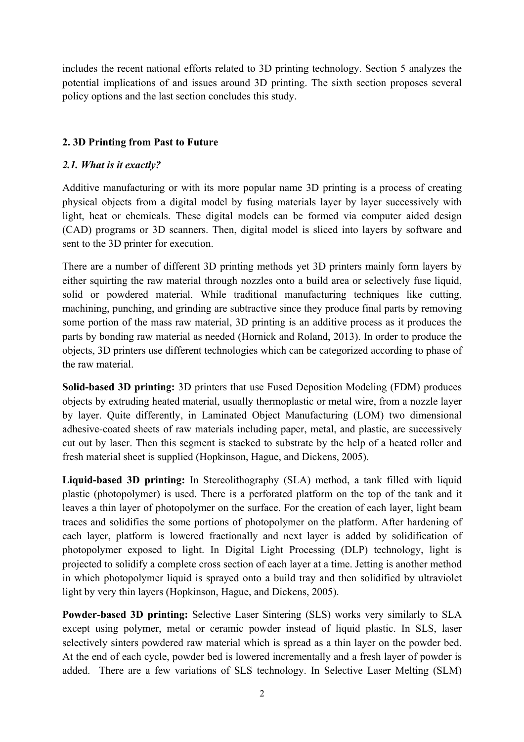includes the recent national efforts related to 3D printing technology. Section 5 analyzes the potential implications of and issues around 3D printing. The sixth section proposes several policy options and the last section concludes this study.

### **2. 3D Printing from Past to Future**

#### *2.1. What is it exactly?*

Additive manufacturing or with its more popular name 3D printing is a process of creating physical objects from a digital model by fusing materials layer by layer successively with light, heat or chemicals. These digital models can be formed via computer aided design (CAD) programs or 3D scanners. Then, digital model is sliced into layers by software and sent to the 3D printer for execution.

There are a number of different 3D printing methods yet 3D printers mainly form layers by either squirting the raw material through nozzles onto a build area or selectively fuse liquid, solid or powdered material. While traditional manufacturing techniques like cutting, machining, punching, and grinding are subtractive since they produce final parts by removing some portion of the mass raw material, 3D printing is an additive process as it produces the parts by bonding raw material as needed (Hornick and Roland, 2013). In order to produce the objects, 3D printers use different technologies which can be categorized according to phase of the raw material.

**Solid-based 3D printing:** 3D printers that use Fused Deposition Modeling (FDM) produces objects by extruding heated material, usually thermoplastic or metal wire, from a nozzle layer by layer. Quite differently, in Laminated Object Manufacturing (LOM) two dimensional adhesive-coated sheets of raw materials including paper, metal, and plastic, are successively cut out by laser. Then this segment is stacked to substrate by the help of a heated roller and fresh material sheet is supplied (Hopkinson, Hague, and Dickens, 2005).

**Liquid-based 3D printing:** In Stereolithography (SLA) method, a tank filled with liquid plastic (photopolymer) is used. There is a perforated platform on the top of the tank and it leaves a thin layer of photopolymer on the surface. For the creation of each layer, light beam traces and solidifies the some portions of photopolymer on the platform. After hardening of each layer, platform is lowered fractionally and next layer is added by solidification of photopolymer exposed to light. In Digital Light Processing (DLP) technology, light is projected to solidify a complete cross section of each layer at a time. Jetting is another method in which photopolymer liquid is sprayed onto a build tray and then solidified by ultraviolet light by very thin layers (Hopkinson, Hague, and Dickens, 2005).

**Powder-based 3D printing:** Selective Laser Sintering (SLS) works very similarly to SLA except using polymer, metal or ceramic powder instead of liquid plastic. In SLS, laser selectively sinters powdered raw material which is spread as a thin layer on the powder bed. At the end of each cycle, powder bed is lowered incrementally and a fresh layer of powder is added. There are a few variations of SLS technology. In Selective Laser Melting (SLM)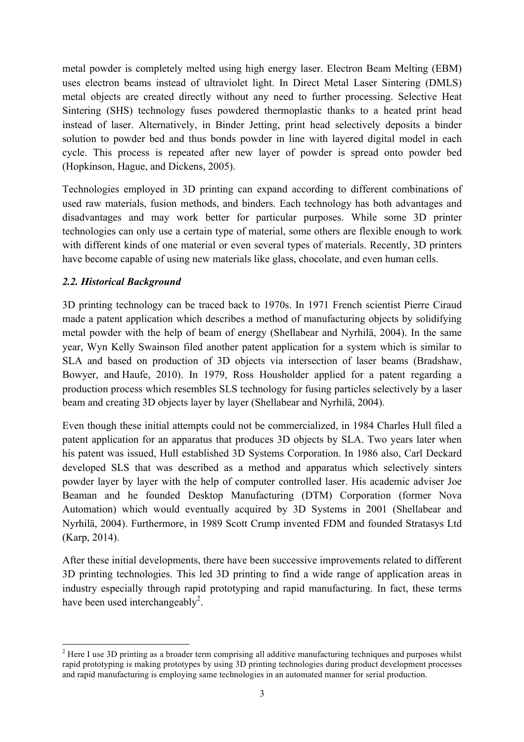metal powder is completely melted using high energy laser. Electron Beam Melting (EBM) uses electron beams instead of ultraviolet light. In Direct Metal Laser Sintering (DMLS) metal objects are created directly without any need to further processing. Selective Heat Sintering (SHS) technology fuses powdered thermoplastic thanks to a heated print head instead of laser. Alternatively, in Binder Jetting, print head selectively deposits a binder solution to powder bed and thus bonds powder in line with layered digital model in each cycle. This process is repeated after new layer of powder is spread onto powder bed (Hopkinson, Hague, and Dickens, 2005).

Technologies employed in 3D printing can expand according to different combinations of used raw materials, fusion methods, and binders. Each technology has both advantages and disadvantages and may work better for particular purposes. While some 3D printer technologies can only use a certain type of material, some others are flexible enough to work with different kinds of one material or even several types of materials. Recently, 3D printers have become capable of using new materials like glass, chocolate, and even human cells.

#### *2.2. Historical Background*

<u> 1989 - Johann Stein, mars et al. 1989 - Anna ann an t-Anna ann an t-Anna ann an t-Anna ann an t-Anna ann an t-</u>

3D printing technology can be traced back to 1970s. In 1971 French scientist Pierre Ciraud made a patent application which describes a method of manufacturing objects by solidifying metal powder with the help of beam of energy (Shellabear and Nyrhilä, 2004). In the same year, Wyn Kelly Swainson filed another patent application for a system which is similar to SLA and based on production of 3D objects via intersection of laser beams (Bradshaw, Bowyer, and Haufe, 2010). In 1979, Ross Housholder applied for a patent regarding a production process which resembles SLS technology for fusing particles selectively by a laser beam and creating 3D objects layer by layer (Shellabear and Nyrhilä, 2004).

Even though these initial attempts could not be commercialized, in 1984 Charles Hull filed a patent application for an apparatus that produces 3D objects by SLA. Two years later when his patent was issued, Hull established 3D Systems Corporation. In 1986 also, Carl Deckard developed SLS that was described as a method and apparatus which selectively sinters powder layer by layer with the help of computer controlled laser. His academic adviser Joe Beaman and he founded Desktop Manufacturing (DTM) Corporation (former Nova Automation) which would eventually acquired by 3D Systems in 2001 (Shellabear and Nyrhilä, 2004). Furthermore, in 1989 Scott Crump invented FDM and founded Stratasys Ltd (Karp, 2014).

After these initial developments, there have been successive improvements related to different 3D printing technologies. This led 3D printing to find a wide range of application areas in industry especially through rapid prototyping and rapid manufacturing. In fact, these terms have been used interchangeably<sup>2</sup>.

<sup>&</sup>lt;sup>2</sup> Here I use 3D printing as a broader term comprising all additive manufacturing techniques and purposes whilst rapid prototyping is making prototypes by using 3D printing technologies during product development processes and rapid manufacturing is employing same technologies in an automated manner for serial production.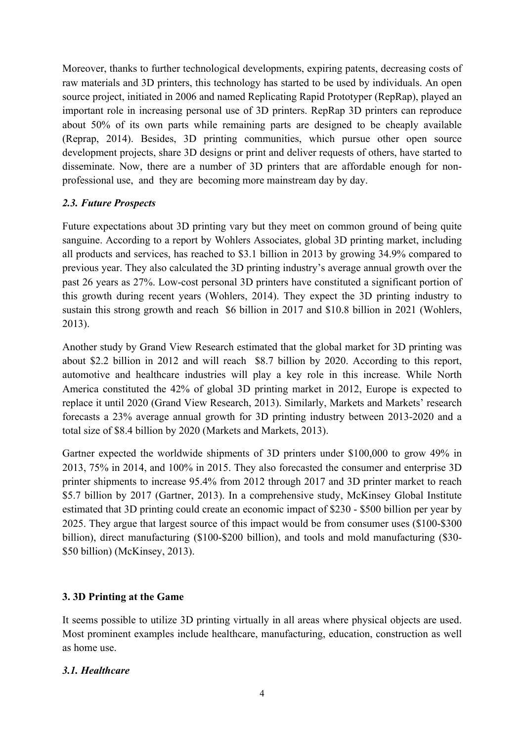Moreover, thanks to further technological developments, expiring patents, decreasing costs of raw materials and 3D printers, this technology has started to be used by individuals. An open source project, initiated in 2006 and named Replicating Rapid Prototyper (RepRap), played an important role in increasing personal use of 3D printers. RepRap 3D printers can reproduce about 50% of its own parts while remaining parts are designed to be cheaply available (Reprap, 2014). Besides, 3D printing communities, which pursue other open source development projects, share 3D designs or print and deliver requests of others, have started to disseminate. Now, there are a number of 3D printers that are affordable enough for nonprofessional use, and they are becoming more mainstream day by day.

### *2.3. Future Prospects*

Future expectations about 3D printing vary but they meet on common ground of being quite sanguine. According to a report by Wohlers Associates, global 3D printing market, including all products and services, has reached to \$3.1 billion in 2013 by growing 34.9% compared to previous year. They also calculated the 3D printing industry's average annual growth over the past 26 years as 27%. Low-cost personal 3D printers have constituted a significant portion of this growth during recent years (Wohlers, 2014). They expect the 3D printing industry to sustain this strong growth and reach \$6 billion in 2017 and \$10.8 billion in 2021 (Wohlers, 2013).

Another study by Grand View Research estimated that the global market for 3D printing was about \$2.2 billion in 2012 and will reach \$8.7 billion by 2020. According to this report, automotive and healthcare industries will play a key role in this increase. While North America constituted the 42% of global 3D printing market in 2012, Europe is expected to replace it until 2020 (Grand View Research, 2013). Similarly, Markets and Markets' research forecasts a 23% average annual growth for 3D printing industry between 2013-2020 and a total size of \$8.4 billion by 2020 (Markets and Markets, 2013).

Gartner expected the worldwide shipments of 3D printers under \$100,000 to grow 49% in 2013, 75% in 2014, and 100% in 2015. They also forecasted the consumer and enterprise 3D printer shipments to increase 95.4% from 2012 through 2017 and 3D printer market to reach \$5.7 billion by 2017 (Gartner, 2013). In a comprehensive study, McKinsey Global Institute estimated that 3D printing could create an economic impact of \$230 - \$500 billion per year by 2025. They argue that largest source of this impact would be from consumer uses (\$100-\$300 billion), direct manufacturing (\$100-\$200 billion), and tools and mold manufacturing (\$30- \$50 billion) (McKinsey, 2013).

### **3. 3D Printing at the Game**

It seems possible to utilize 3D printing virtually in all areas where physical objects are used. Most prominent examples include healthcare, manufacturing, education, construction as well as home use.

#### *3.1. Healthcare*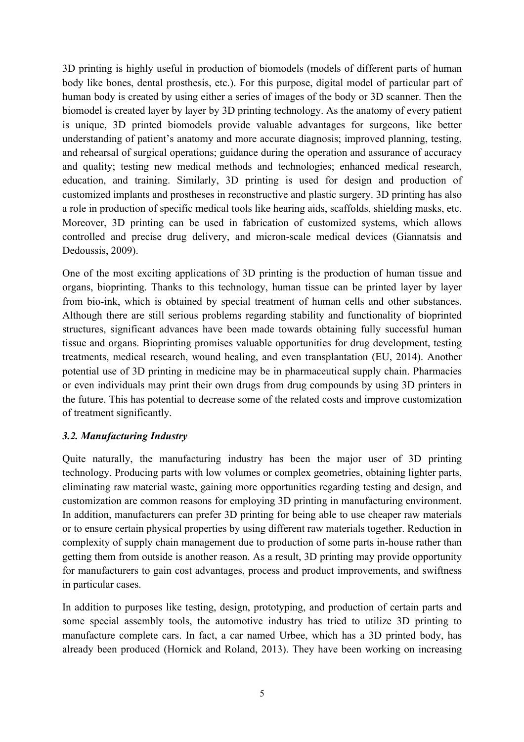3D printing is highly useful in production of biomodels (models of different parts of human body like bones, dental prosthesis, etc.). For this purpose, digital model of particular part of human body is created by using either a series of images of the body or 3D scanner. Then the biomodel is created layer by layer by 3D printing technology. As the anatomy of every patient is unique, 3D printed biomodels provide valuable advantages for surgeons, like better understanding of patient's anatomy and more accurate diagnosis; improved planning, testing, and rehearsal of surgical operations; guidance during the operation and assurance of accuracy and quality; testing new medical methods and technologies; enhanced medical research, education, and training. Similarly, 3D printing is used for design and production of customized implants and prostheses in reconstructive and plastic surgery. 3D printing has also a role in production of specific medical tools like hearing aids, scaffolds, shielding masks, etc. Moreover, 3D printing can be used in fabrication of customized systems, which allows controlled and precise drug delivery, and micron-scale medical devices (Giannatsis and Dedoussis, 2009).

One of the most exciting applications of 3D printing is the production of human tissue and organs, bioprinting. Thanks to this technology, human tissue can be printed layer by layer from bio-ink, which is obtained by special treatment of human cells and other substances. Although there are still serious problems regarding stability and functionality of bioprinted structures, significant advances have been made towards obtaining fully successful human tissue and organs. Bioprinting promises valuable opportunities for drug development, testing treatments, medical research, wound healing, and even transplantation (EU, 2014). Another potential use of 3D printing in medicine may be in pharmaceutical supply chain. Pharmacies or even individuals may print their own drugs from drug compounds by using 3D printers in the future. This has potential to decrease some of the related costs and improve customization of treatment significantly.

#### *3.2. Manufacturing Industry*

Quite naturally, the manufacturing industry has been the major user of 3D printing technology. Producing parts with low volumes or complex geometries, obtaining lighter parts, eliminating raw material waste, gaining more opportunities regarding testing and design, and customization are common reasons for employing 3D printing in manufacturing environment. In addition, manufacturers can prefer 3D printing for being able to use cheaper raw materials or to ensure certain physical properties by using different raw materials together. Reduction in complexity of supply chain management due to production of some parts in-house rather than getting them from outside is another reason. As a result, 3D printing may provide opportunity for manufacturers to gain cost advantages, process and product improvements, and swiftness in particular cases.

In addition to purposes like testing, design, prototyping, and production of certain parts and some special assembly tools, the automotive industry has tried to utilize 3D printing to manufacture complete cars. In fact, a car named Urbee, which has a 3D printed body, has already been produced (Hornick and Roland, 2013). They have been working on increasing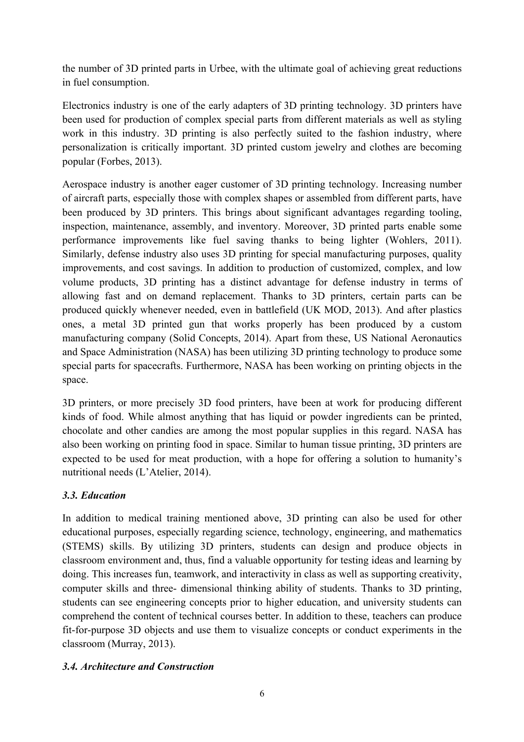the number of 3D printed parts in Urbee, with the ultimate goal of achieving great reductions in fuel consumption.

Electronics industry is one of the early adapters of 3D printing technology. 3D printers have been used for production of complex special parts from different materials as well as styling work in this industry. 3D printing is also perfectly suited to the fashion industry, where personalization is critically important. 3D printed custom jewelry and clothes are becoming popular (Forbes, 2013).

Aerospace industry is another eager customer of 3D printing technology. Increasing number of aircraft parts, especially those with complex shapes or assembled from different parts, have been produced by 3D printers. This brings about significant advantages regarding tooling, inspection, maintenance, assembly, and inventory. Moreover, 3D printed parts enable some performance improvements like fuel saving thanks to being lighter (Wohlers, 2011). Similarly, defense industry also uses 3D printing for special manufacturing purposes, quality improvements, and cost savings. In addition to production of customized, complex, and low volume products, 3D printing has a distinct advantage for defense industry in terms of allowing fast and on demand replacement. Thanks to 3D printers, certain parts can be produced quickly whenever needed, even in battlefield (UK MOD, 2013). And after plastics ones, a metal 3D printed gun that works properly has been produced by a custom manufacturing company (Solid Concepts, 2014). Apart from these, US National Aeronautics and Space Administration (NASA) has been utilizing 3D printing technology to produce some special parts for spacecrafts. Furthermore, NASA has been working on printing objects in the space.

3D printers, or more precisely 3D food printers, have been at work for producing different kinds of food. While almost anything that has liquid or powder ingredients can be printed, chocolate and other candies are among the most popular supplies in this regard. NASA has also been working on printing food in space. Similar to human tissue printing, 3D printers are expected to be used for meat production, with a hope for offering a solution to humanity's nutritional needs (L'Atelier, 2014).

### *3.3. Education*

In addition to medical training mentioned above, 3D printing can also be used for other educational purposes, especially regarding science, technology, engineering, and mathematics (STEMS) skills. By utilizing 3D printers, students can design and produce objects in classroom environment and, thus, find a valuable opportunity for testing ideas and learning by doing. This increases fun, teamwork, and interactivity in class as well as supporting creativity, computer skills and three- dimensional thinking ability of students. Thanks to 3D printing, students can see engineering concepts prior to higher education, and university students can comprehend the content of technical courses better. In addition to these, teachers can produce fit-for-purpose 3D objects and use them to visualize concepts or conduct experiments in the classroom (Murray, 2013).

### *3.4. Architecture and Construction*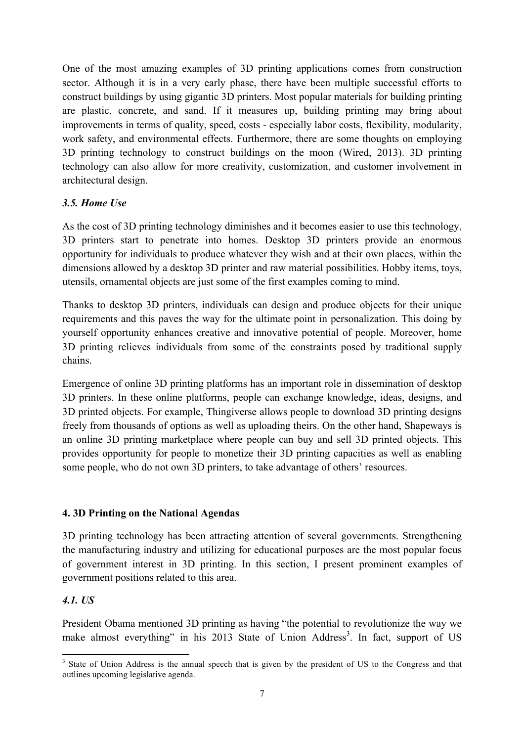One of the most amazing examples of 3D printing applications comes from construction sector. Although it is in a very early phase, there have been multiple successful efforts to construct buildings by using gigantic 3D printers. Most popular materials for building printing are plastic, concrete, and sand. If it measures up, building printing may bring about improvements in terms of quality, speed, costs - especially labor costs, flexibility, modularity, work safety, and environmental effects. Furthermore, there are some thoughts on employing 3D printing technology to construct buildings on the moon (Wired, 2013). 3D printing technology can also allow for more creativity, customization, and customer involvement in architectural design.

#### *3.5. Home Use*

As the cost of 3D printing technology diminishes and it becomes easier to use this technology, 3D printers start to penetrate into homes. Desktop 3D printers provide an enormous opportunity for individuals to produce whatever they wish and at their own places, within the dimensions allowed by a desktop 3D printer and raw material possibilities. Hobby items, toys, utensils, ornamental objects are just some of the first examples coming to mind.

Thanks to desktop 3D printers, individuals can design and produce objects for their unique requirements and this paves the way for the ultimate point in personalization. This doing by yourself opportunity enhances creative and innovative potential of people. Moreover, home 3D printing relieves individuals from some of the constraints posed by traditional supply chains.

Emergence of online 3D printing platforms has an important role in dissemination of desktop 3D printers. In these online platforms, people can exchange knowledge, ideas, designs, and 3D printed objects. For example, Thingiverse allows people to download 3D printing designs freely from thousands of options as well as uploading theirs. On the other hand, Shapeways is an online 3D printing marketplace where people can buy and sell 3D printed objects. This provides opportunity for people to monetize their 3D printing capacities as well as enabling some people, who do not own 3D printers, to take advantage of others' resources.

#### **4. 3D Printing on the National Agendas**

<u> 1989 - Johann Stein, mars et al. 1989 - Anna ann an t-Anna ann an t-Anna ann an t-Anna ann an t-Anna ann an t-</u>

3D printing technology has been attracting attention of several governments. Strengthening the manufacturing industry and utilizing for educational purposes are the most popular focus of government interest in 3D printing. In this section, I present prominent examples of government positions related to this area.

### *4.1. US*

President Obama mentioned 3D printing as having "the potential to revolutionize the way we make almost everything" in his 2013 State of Union Address<sup>3</sup>. In fact, support of US

<sup>&</sup>lt;sup>3</sup> State of Union Address is the annual speech that is given by the president of US to the Congress and that outlines upcoming legislative agenda.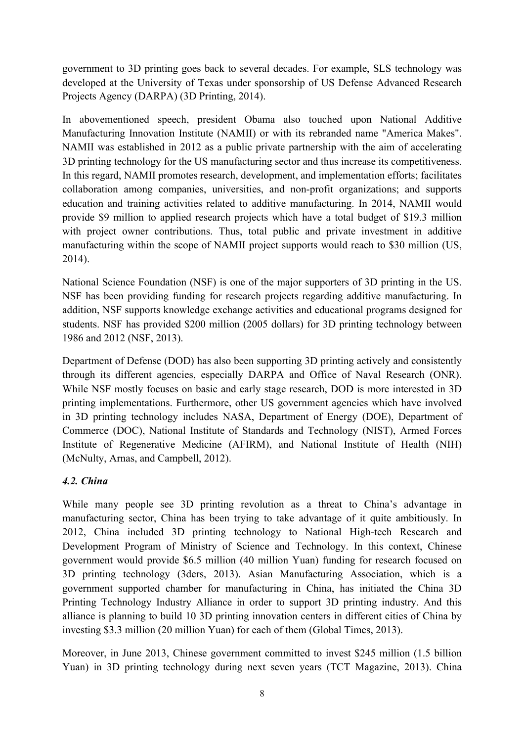government to 3D printing goes back to several decades. For example, SLS technology was developed at the University of Texas under sponsorship of US Defense Advanced Research Projects Agency (DARPA) (3D Printing, 2014).

In abovementioned speech, president Obama also touched upon National Additive Manufacturing Innovation Institute (NAMII) or with its rebranded name "America Makes". NAMII was established in 2012 as a public private partnership with the aim of accelerating 3D printing technology for the US manufacturing sector and thus increase its competitiveness. In this regard, NAMII promotes research, development, and implementation efforts; facilitates collaboration among companies, universities, and non-profit organizations; and supports education and training activities related to additive manufacturing. In 2014, NAMII would provide \$9 million to applied research projects which have a total budget of \$19.3 million with project owner contributions. Thus, total public and private investment in additive manufacturing within the scope of NAMII project supports would reach to \$30 million (US, 2014).

National Science Foundation (NSF) is one of the major supporters of 3D printing in the US. NSF has been providing funding for research projects regarding additive manufacturing. In addition, NSF supports knowledge exchange activities and educational programs designed for students. NSF has provided \$200 million (2005 dollars) for 3D printing technology between 1986 and 2012 (NSF, 2013).

Department of Defense (DOD) has also been supporting 3D printing actively and consistently through its different agencies, especially DARPA and Office of Naval Research (ONR). While NSF mostly focuses on basic and early stage research, DOD is more interested in 3D printing implementations. Furthermore, other US government agencies which have involved in 3D printing technology includes NASA, Department of Energy (DOE), Department of Commerce (DOC), National Institute of Standards and Technology (NIST), Armed Forces Institute of Regenerative Medicine (AFIRM), and National Institute of Health (NIH) (McNulty, Arnas, and Campbell, 2012).

### *4.2. China*

While many people see 3D printing revolution as a threat to China's advantage in manufacturing sector, China has been trying to take advantage of it quite ambitiously. In 2012, China included 3D printing technology to National High-tech Research and Development Program of Ministry of Science and Technology. In this context, Chinese government would provide \$6.5 million (40 million Yuan) funding for research focused on 3D printing technology (3ders, 2013). Asian Manufacturing Association, which is a government supported chamber for manufacturing in China, has initiated the China 3D Printing Technology Industry Alliance in order to support 3D printing industry. And this alliance is planning to build 10 3D printing innovation centers in different cities of China by investing \$3.3 million (20 million Yuan) for each of them (Global Times, 2013).

Moreover, in June 2013, Chinese government committed to invest \$245 million (1.5 billion Yuan) in 3D printing technology during next seven years (TCT Magazine, 2013). China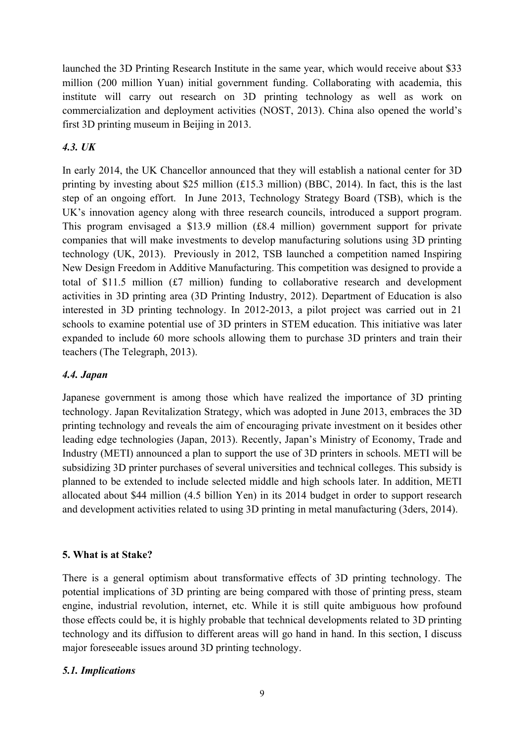launched the 3D Printing Research Institute in the same year, which would receive about \$33 million (200 million Yuan) initial government funding. Collaborating with academia, this institute will carry out research on 3D printing technology as well as work on commercialization and deployment activities (NOST, 2013). China also opened the world's first 3D printing museum in Beijing in 2013.

# *4.3. UK*

In early 2014, the UK Chancellor announced that they will establish a national center for 3D printing by investing about \$25 million (£15.3 million) (BBC, 2014). In fact, this is the last step of an ongoing effort. In June 2013, Technology Strategy Board (TSB), which is the UK's innovation agency along with three research councils, introduced a support program. This program envisaged a \$13.9 million (£8.4 million) government support for private companies that will make investments to develop manufacturing solutions using 3D printing technology (UK, 2013). Previously in 2012, TSB launched a competition named Inspiring New Design Freedom in Additive Manufacturing. This competition was designed to provide a total of \$11.5 million (£7 million) funding to collaborative research and development activities in 3D printing area (3D Printing Industry, 2012). Department of Education is also interested in 3D printing technology. In 2012-2013, a pilot project was carried out in 21 schools to examine potential use of 3D printers in STEM education. This initiative was later expanded to include 60 more schools allowing them to purchase 3D printers and train their teachers (The Telegraph, 2013).

### *4.4. Japan*

Japanese government is among those which have realized the importance of 3D printing technology. Japan Revitalization Strategy, which was adopted in June 2013, embraces the 3D printing technology and reveals the aim of encouraging private investment on it besides other leading edge technologies (Japan, 2013). Recently, Japan's Ministry of Economy, Trade and Industry (METI) announced a plan to support the use of 3D printers in schools. METI will be subsidizing 3D printer purchases of several universities and technical colleges. This subsidy is planned to be extended to include selected middle and high schools later. In addition, METI allocated about \$44 million (4.5 billion Yen) in its 2014 budget in order to support research and development activities related to using 3D printing in metal manufacturing (3ders, 2014).

### **5. What is at Stake?**

There is a general optimism about transformative effects of 3D printing technology. The potential implications of 3D printing are being compared with those of printing press, steam engine, industrial revolution, internet, etc. While it is still quite ambiguous how profound those effects could be, it is highly probable that technical developments related to 3D printing technology and its diffusion to different areas will go hand in hand. In this section, I discuss major foreseeable issues around 3D printing technology.

### *5.1. Implications*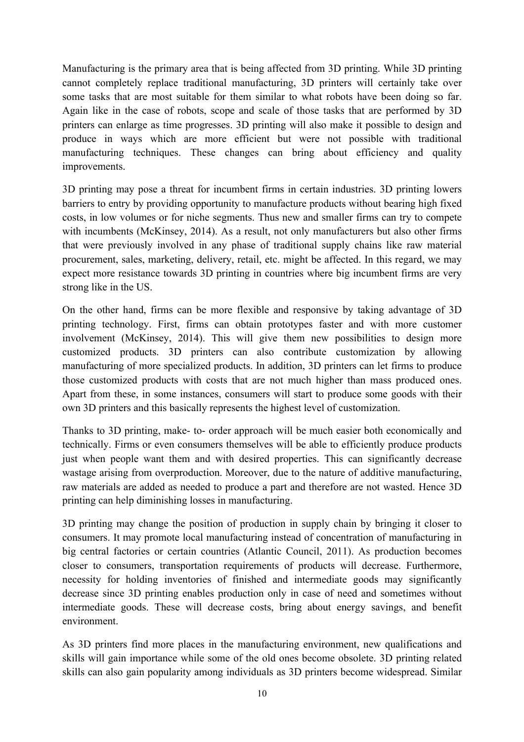Manufacturing is the primary area that is being affected from 3D printing. While 3D printing cannot completely replace traditional manufacturing, 3D printers will certainly take over some tasks that are most suitable for them similar to what robots have been doing so far. Again like in the case of robots, scope and scale of those tasks that are performed by 3D printers can enlarge as time progresses. 3D printing will also make it possible to design and produce in ways which are more efficient but were not possible with traditional manufacturing techniques. These changes can bring about efficiency and quality improvements.

3D printing may pose a threat for incumbent firms in certain industries. 3D printing lowers barriers to entry by providing opportunity to manufacture products without bearing high fixed costs, in low volumes or for niche segments. Thus new and smaller firms can try to compete with incumbents (McKinsey, 2014). As a result, not only manufacturers but also other firms that were previously involved in any phase of traditional supply chains like raw material procurement, sales, marketing, delivery, retail, etc. might be affected. In this regard, we may expect more resistance towards 3D printing in countries where big incumbent firms are very strong like in the US.

On the other hand, firms can be more flexible and responsive by taking advantage of 3D printing technology. First, firms can obtain prototypes faster and with more customer involvement (McKinsey, 2014). This will give them new possibilities to design more customized products. 3D printers can also contribute customization by allowing manufacturing of more specialized products. In addition, 3D printers can let firms to produce those customized products with costs that are not much higher than mass produced ones. Apart from these, in some instances, consumers will start to produce some goods with their own 3D printers and this basically represents the highest level of customization.

Thanks to 3D printing, make- to- order approach will be much easier both economically and technically. Firms or even consumers themselves will be able to efficiently produce products just when people want them and with desired properties. This can significantly decrease wastage arising from overproduction. Moreover, due to the nature of additive manufacturing, raw materials are added as needed to produce a part and therefore are not wasted. Hence 3D printing can help diminishing losses in manufacturing.

3D printing may change the position of production in supply chain by bringing it closer to consumers. It may promote local manufacturing instead of concentration of manufacturing in big central factories or certain countries (Atlantic Council, 2011). As production becomes closer to consumers, transportation requirements of products will decrease. Furthermore, necessity for holding inventories of finished and intermediate goods may significantly decrease since 3D printing enables production only in case of need and sometimes without intermediate goods. These will decrease costs, bring about energy savings, and benefit environment.

As 3D printers find more places in the manufacturing environment, new qualifications and skills will gain importance while some of the old ones become obsolete. 3D printing related skills can also gain popularity among individuals as 3D printers become widespread. Similar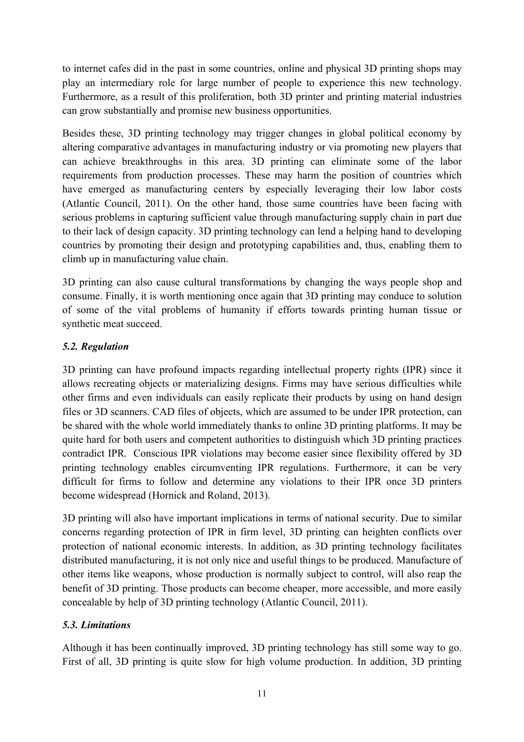to internet cafes did in the past in some countries, online and physical 3D printing shops may play an intermediary role for large number of people to experience this new technology. Furthermore, as a result of this proliferation, both 3D printer and printing material industries can grow substantially and promise new business opportunities.

Besides these, 3D printing technology may trigger changes in global political economy by altering comparative advantages in manufacturing industry or via promoting new players that can achieve breakthroughs in this area. 3D printing can eliminate some of the labor requirements from production processes. These may harm the position of countries which have emerged as manufacturing centers by especially leveraging their low labor costs (Atlantic Council, 2011). On the other hand, those same countries have been facing with serious problems in capturing sufficient value through manufacturing supply chain in part due to their lack of design capacity. 3D printing technology can lend a helping hand to developing countries by promoting their design and prototyping capabilities and, thus, enabling them to climb up in manufacturing value chain.

3D printing can also cause cultural transformations by changing the ways people shop and consume. Finally, it is worth mentioning once again that 3D printing may conduce to solution of some of the vital problems of humanity if efforts towards printing human tissue or synthetic meat succeed.

# *5.2. Regulation*

3D printing can have profound impacts regarding intellectual property rights (IPR) since it allows recreating objects or materializing designs. Firms may have serious difficulties while other firms and even individuals can easily replicate their products by using on hand design files or 3D scanners. CAD files of objects, which are assumed to be under IPR protection, can be shared with the whole world immediately thanks to online 3D printing platforms. It may be quite hard for both users and competent authorities to distinguish which 3D printing practices contradict IPR. Conscious IPR violations may become easier since flexibility offered by 3D printing technology enables circumventing IPR regulations. Furthermore, it can be very difficult for firms to follow and determine any violations to their IPR once 3D printers become widespread (Hornick and Roland, 2013).

3D printing will also have important implications in terms of national security. Due to similar concerns regarding protection of IPR in firm level, 3D printing can heighten conflicts over protection of national economic interests. In addition, as 3D printing technology facilitates distributed manufacturing, it is not only nice and useful things to be produced. Manufacture of other items like weapons, whose production is normally subject to control, will also reap the benefit of 3D printing. Those products can become cheaper, more accessible, and more easily concealable by help of 3D printing technology (Atlantic Council, 2011).

### *5.3. Limitations*

Although it has been continually improved, 3D printing technology has still some way to go. First of all, 3D printing is quite slow for high volume production. In addition, 3D printing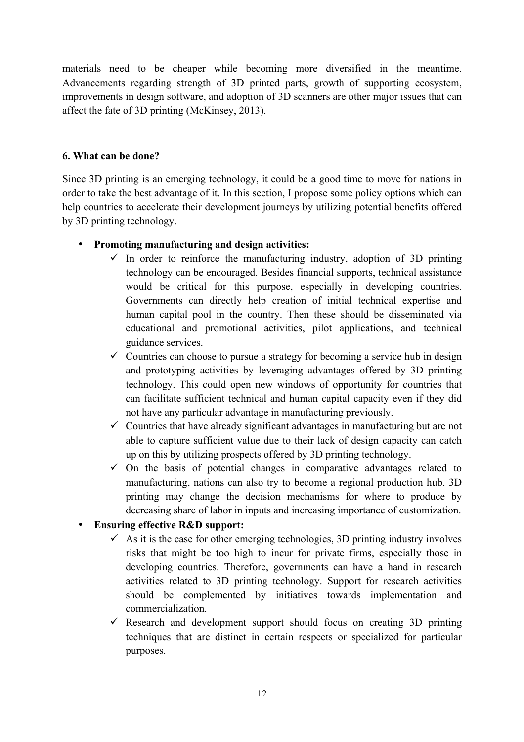materials need to be cheaper while becoming more diversified in the meantime. Advancements regarding strength of 3D printed parts, growth of supporting ecosystem, improvements in design software, and adoption of 3D scanners are other major issues that can affect the fate of 3D printing (McKinsey, 2013).

#### **6. What can be done?**

Since 3D printing is an emerging technology, it could be a good time to move for nations in order to take the best advantage of it. In this section, I propose some policy options which can help countries to accelerate their development journeys by utilizing potential benefits offered by 3D printing technology.

#### • **Promoting manufacturing and design activities:**

- $\checkmark$  In order to reinforce the manufacturing industry, adoption of 3D printing technology can be encouraged. Besides financial supports, technical assistance would be critical for this purpose, especially in developing countries. Governments can directly help creation of initial technical expertise and human capital pool in the country. Then these should be disseminated via educational and promotional activities, pilot applications, and technical guidance services.
- $\checkmark$  Countries can choose to pursue a strategy for becoming a service hub in design and prototyping activities by leveraging advantages offered by 3D printing technology. This could open new windows of opportunity for countries that can facilitate sufficient technical and human capital capacity even if they did not have any particular advantage in manufacturing previously.
- $\checkmark$  Countries that have already significant advantages in manufacturing but are not able to capture sufficient value due to their lack of design capacity can catch up on this by utilizing prospects offered by 3D printing technology.
- $\checkmark$  On the basis of potential changes in comparative advantages related to manufacturing, nations can also try to become a regional production hub. 3D printing may change the decision mechanisms for where to produce by decreasing share of labor in inputs and increasing importance of customization.

### • **Ensuring effective R&D support:**

- $\checkmark$  As it is the case for other emerging technologies, 3D printing industry involves risks that might be too high to incur for private firms, especially those in developing countries. Therefore, governments can have a hand in research activities related to 3D printing technology. Support for research activities should be complemented by initiatives towards implementation and commercialization.
- $\checkmark$  Research and development support should focus on creating 3D printing techniques that are distinct in certain respects or specialized for particular purposes.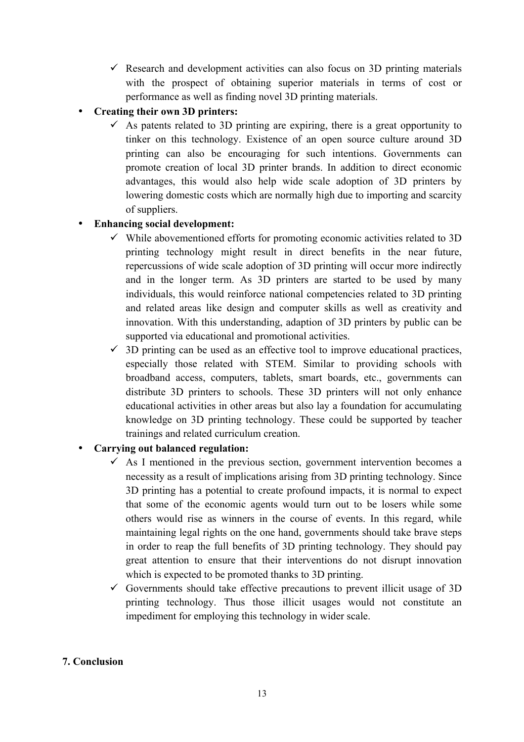$\checkmark$  Research and development activities can also focus on 3D printing materials with the prospect of obtaining superior materials in terms of cost or performance as well as finding novel 3D printing materials.

# • **Creating their own 3D printers:**

 $\checkmark$  As patents related to 3D printing are expiring, there is a great opportunity to tinker on this technology. Existence of an open source culture around 3D printing can also be encouraging for such intentions. Governments can promote creation of local 3D printer brands. In addition to direct economic advantages, this would also help wide scale adoption of 3D printers by lowering domestic costs which are normally high due to importing and scarcity of suppliers.

# • **Enhancing social development:**

- $\checkmark$  While abovementioned efforts for promoting economic activities related to 3D printing technology might result in direct benefits in the near future, repercussions of wide scale adoption of 3D printing will occur more indirectly and in the longer term. As 3D printers are started to be used by many individuals, this would reinforce national competencies related to 3D printing and related areas like design and computer skills as well as creativity and innovation. With this understanding, adaption of 3D printers by public can be supported via educational and promotional activities.
- $\checkmark$  3D printing can be used as an effective tool to improve educational practices, especially those related with STEM. Similar to providing schools with broadband access, computers, tablets, smart boards, etc., governments can distribute 3D printers to schools. These 3D printers will not only enhance educational activities in other areas but also lay a foundation for accumulating knowledge on 3D printing technology. These could be supported by teacher trainings and related curriculum creation.

### • **Carrying out balanced regulation:**

- $\checkmark$  As I mentioned in the previous section, government intervention becomes a necessity as a result of implications arising from 3D printing technology. Since 3D printing has a potential to create profound impacts, it is normal to expect that some of the economic agents would turn out to be losers while some others would rise as winners in the course of events. In this regard, while maintaining legal rights on the one hand, governments should take brave steps in order to reap the full benefits of 3D printing technology. They should pay great attention to ensure that their interventions do not disrupt innovation which is expected to be promoted thanks to 3D printing.
- $\checkmark$  Governments should take effective precautions to prevent illicit usage of 3D printing technology. Thus those illicit usages would not constitute an impediment for employing this technology in wider scale.

### **7. Conclusion**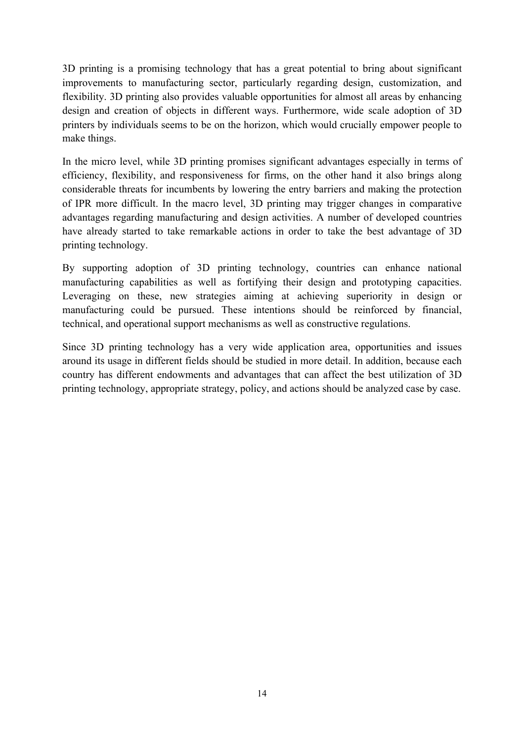3D printing is a promising technology that has a great potential to bring about significant improvements to manufacturing sector, particularly regarding design, customization, and flexibility. 3D printing also provides valuable opportunities for almost all areas by enhancing design and creation of objects in different ways. Furthermore, wide scale adoption of 3D printers by individuals seems to be on the horizon, which would crucially empower people to make things.

In the micro level, while 3D printing promises significant advantages especially in terms of efficiency, flexibility, and responsiveness for firms, on the other hand it also brings along considerable threats for incumbents by lowering the entry barriers and making the protection of IPR more difficult. In the macro level, 3D printing may trigger changes in comparative advantages regarding manufacturing and design activities. A number of developed countries have already started to take remarkable actions in order to take the best advantage of 3D printing technology.

By supporting adoption of 3D printing technology, countries can enhance national manufacturing capabilities as well as fortifying their design and prototyping capacities. Leveraging on these, new strategies aiming at achieving superiority in design or manufacturing could be pursued. These intentions should be reinforced by financial, technical, and operational support mechanisms as well as constructive regulations.

Since 3D printing technology has a very wide application area, opportunities and issues around its usage in different fields should be studied in more detail. In addition, because each country has different endowments and advantages that can affect the best utilization of 3D printing technology, appropriate strategy, policy, and actions should be analyzed case by case.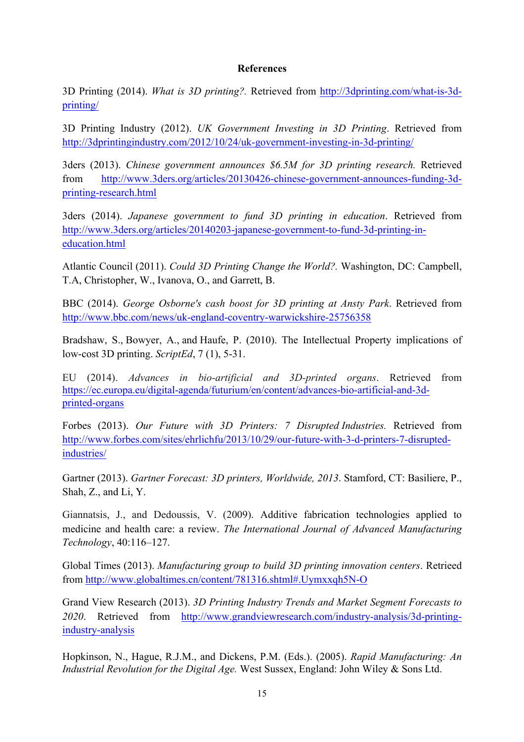#### **References**

3D Printing (2014). *What is 3D printing?.* Retrieved from http://3dprinting.com/what-is-3dprinting/

3D Printing Industry (2012). *UK Government Investing in 3D Printing*. Retrieved from http://3dprintingindustry.com/2012/10/24/uk-government-investing-in-3d-printing/

3ders (2013). *Chinese government announces \$6.5M for 3D printing research.* Retrieved from http://www.3ders.org/articles/20130426-chinese-government-announces-funding-3dprinting-research.html

3ders (2014). *Japanese government to fund 3D printing in education*. Retrieved from http://www.3ders.org/articles/20140203-japanese-government-to-fund-3d-printing-ineducation.html

Atlantic Council (2011). *Could 3D Printing Change the World?.* Washington, DC: Campbell, T.A, Christopher, W., Ivanova, O., and Garrett, B.

BBC (2014). *George Osborne's cash boost for 3D printing at Ansty Park*. Retrieved from http://www.bbc.com/news/uk-england-coventry-warwickshire-25756358

Bradshaw, S., Bowyer, A., and Haufe, P. (2010). The Intellectual Property implications of low-cost 3D printing. *ScriptEd*, 7 (1), 5-31.

EU (2014). *Advances in bio-artificial and 3D-printed organs*. Retrieved from https://ec.europa.eu/digital-agenda/futurium/en/content/advances-bio-artificial-and-3dprinted-organs

Forbes (2013). *Our Future with 3D Printers: 7 Disrupted Industries.* Retrieved from http://www.forbes.com/sites/ehrlichfu/2013/10/29/our-future-with-3-d-printers-7-disruptedindustries/

Gartner (2013). *Gartner Forecast: 3D printers, Worldwide, 2013*. Stamford, CT: Basiliere, P., Shah, Z., and Li, Y.

Giannatsis, J., and Dedoussis, V. (2009). Additive fabrication technologies applied to medicine and health care: a review. *The International Journal of Advanced Manufacturing Technology*, 40:116–127.

Global Times (2013). *Manufacturing group to build 3D printing innovation centers*. Retrieed from http://www.globaltimes.cn/content/781316.shtml#.Uymxxqh5N-O

Grand View Research (2013). *3D Printing Industry Trends and Market Segment Forecasts to 2020*. Retrieved from http://www.grandviewresearch.com/industry-analysis/3d-printingindustry-analysis

Hopkinson, N., Hague, R.J.M., and Dickens, P.M. (Eds.). (2005). *Rapid Manufacturing: An Industrial Revolution for the Digital Age.* West Sussex, England: John Wiley & Sons Ltd.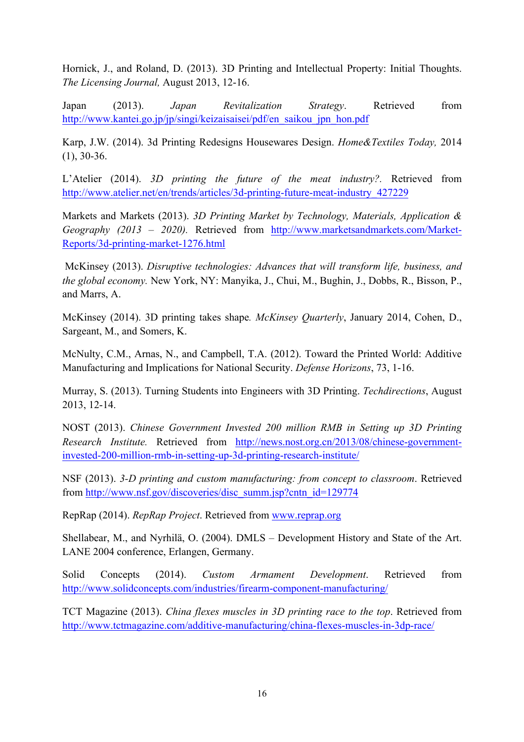Hornick, J., and Roland, D. (2013). 3D Printing and Intellectual Property: Initial Thoughts. *The Licensing Journal,* August 2013, 12-16.

Japan (2013). *Japan Revitalization Strategy*. Retrieved from http://www.kantei.go.jp/jp/singi/keizaisaisei/pdf/en\_saikou\_jpn\_hon.pdf

Karp, J.W. (2014). 3d Printing Redesigns Housewares Design. *Home&Textiles Today,* 2014 (1), 30-36.

L'Atelier (2014). *3D printing the future of the meat industry?.* Retrieved from http://www.atelier.net/en/trends/articles/3d-printing-future-meat-industry\_427229

Markets and Markets (2013). *3D Printing Market by Technology, Materials, Application & Geography (2013 – 2020).* Retrieved from http://www.marketsandmarkets.com/Market-Reports/3d-printing-market-1276.html

McKinsey (2013). *Disruptive technologies: Advances that will transform life, business, and the global economy.* New York, NY: Manyika, J., Chui, M., Bughin, J., Dobbs, R., Bisson, P., and Marrs, A.

McKinsey (2014). 3D printing takes shape*. McKinsey Quarterly*, January 2014, Cohen, D., Sargeant, M., and Somers, K.

McNulty, C.M., Arnas, N., and Campbell, T.A. (2012). Toward the Printed World: Additive Manufacturing and Implications for National Security. *Defense Horizons*, 73, 1-16.

Murray, S. (2013). Turning Students into Engineers with 3D Printing. *Techdirections*, August 2013, 12-14.

NOST (2013). *Chinese Government Invested 200 million RMB in Setting up 3D Printing Research Institute.* Retrieved from http://news.nost.org.cn/2013/08/chinese-governmentinvested-200-million-rmb-in-setting-up-3d-printing-research-institute/

NSF (2013). *3-D printing and custom manufacturing: from concept to classroom*. Retrieved from http://www.nsf.gov/discoveries/disc\_summ.jsp?cntn\_id=129774

RepRap (2014). *RepRap Project*. Retrieved from www.reprap.org

Shellabear, M., and Nyrhilä, O. (2004). DMLS – Development History and State of the Art. LANE 2004 conference, Erlangen, Germany.

Solid Concepts (2014). *Custom Armament Development*. Retrieved from http://www.solidconcepts.com/industries/firearm-component-manufacturing/

TCT Magazine (2013). *China flexes muscles in 3D printing race to the top*. Retrieved from http://www.tctmagazine.com/additive-manufacturing/china-flexes-muscles-in-3dp-race/